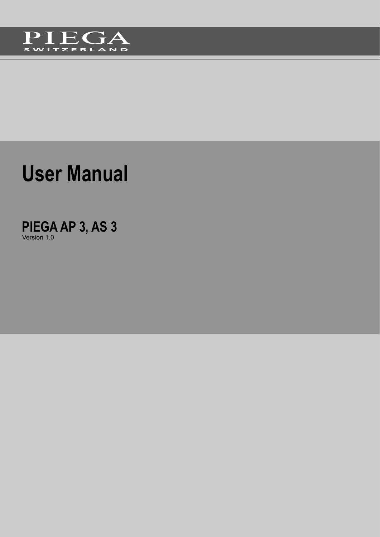

# **User Manual**

**PIEGA AP 3, AS 3** Version 1.0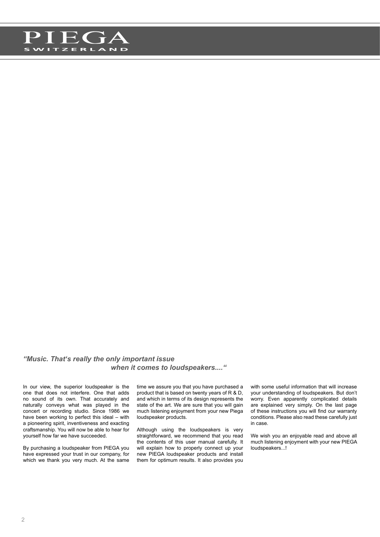

#### *"Music. That's really the only important issue when it comes to loudspeakers...."*

In our view, the superior loudspeaker is the one that does not interfere. One that adds no sound of its own. That accurately and naturally conveys what was played in the concert or recording studio. Since 1986 we have been working to perfect this ideal – with a pioneering spirit, inventiveness and exacting craftsmanship. You will now be able to hear for yourself how far we have succeeded.

By purchasing a loudspeaker from PIEGA you have expressed your trust in our company, for which we thank you very much. At the same time we assure you that you have purchased a product that is based on twenty years of R & D, and which in terms of its design represents the state of the art. We are sure that you will gain much listening enjoyment from your new Piega loudspeaker products.

Although using the loudspeakers is very straightforward, we recommend that you read the contents of this user manual carefully. It will explain how to properly connect up your new PIEGA loudspeaker products and install them for optimum results. It also provides you

with some useful information that will increase your understanding of loudspeakers. But don't worry. Even apparently complicated details are explained very simply. On the last page of these instructions you will find our warranty conditions. Please also read these carefully just in case.

We wish you an enjoyable read and above all much listening enjoyment with your new PIEGA loudspeakers...!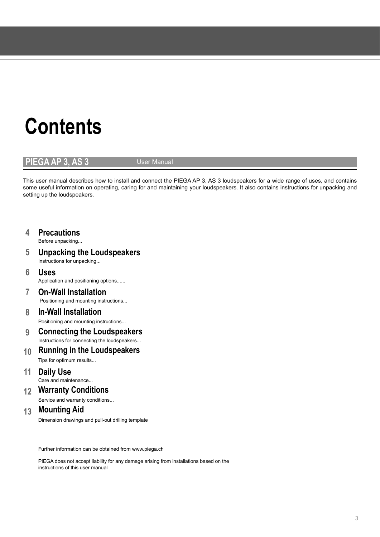# **Contents**

### **PIEGA AP 3, AS 3** User Manual

This user manual describes how to install and connect the PIEGA AP 3, AS 3 loudspeakers for a wide range of uses, and contains some useful information on operating, caring for and maintaining your loudspeakers. It also contains instructions for unpacking and setting up the loudspeakers.

### **4 Precautions**

Before unpacking...

- **5 Unpacking the Loudspeakers**
	- Instructions for unpacking...
- **6 Uses** Application and positioning options......
- **7 On-Wall Installation** Positioning and mounting instructions...

### **8 In-Wall Installation** Positioning and mounting instructions...

- **9 Connecting the Loudspeakers** Instructions for connecting the loudspeakers...
- **10 Running in the Loudspeakers** Tips for optimum results...
- **11 Daily Use**
- Care and maintenance...
- **12 Warranty Conditions**
	- Service and warranty conditions...

### **13 Mounting Aid**

Dimension drawings and pull-out drilling template

Further information can be obtained from www.piega.ch

PIEGA does not accept liability for any damage arising from installations based on the instructions of this user manual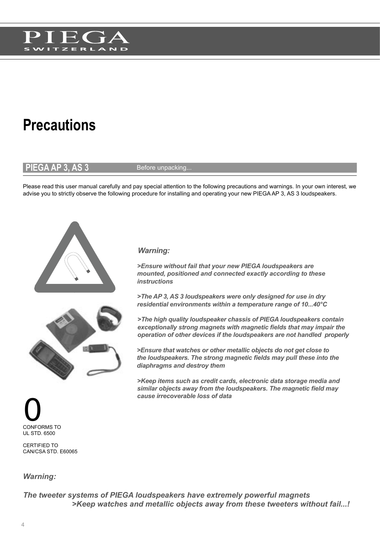

## **Precautions**

### **PIEGA AP 3, AS 3** Before unpacking.

Please read this user manual carefully and pay special attention to the following precautions and warnings. In your own interest, we advise you to strictly observe the following procedure for installing and operating your new PIEGA AP 3, AS 3 loudspeakers.





### *Warning:*

*>Ensure without fail that your new PIEGA loudspeakers are mounted, positioned and connected exactly according to these instructions*

*>The AP 3, AS 3 loudspeakers were only designed for use in dry residential environments within a temperature range of 10...40°C*

*>The high quality loudspeaker chassis of PIEGA loudspeakers contain exceptionally strong magnets with magnetic fi elds that may impair the operation of other devices if the loudspeakers are not handled properly*

*>Ensure that watches or other metallic objects do not get close to the loudspeakers. The strong magnetic fi elds may pull these into the diaphragms and destroy them*

*>Keep items such as credit cards, electronic data storage media and*  similar objects away from the loudspeakers. The magnetic field may *cause irrecoverable loss of data* 



CERTIFIED TO CAN/CSA STD. E60065

#### *Warning:*

*The tweeter systems of PIEGA loudspeakers have extremely powerful magnets >Keep watches and metallic objects away from these tweeters without fail...!*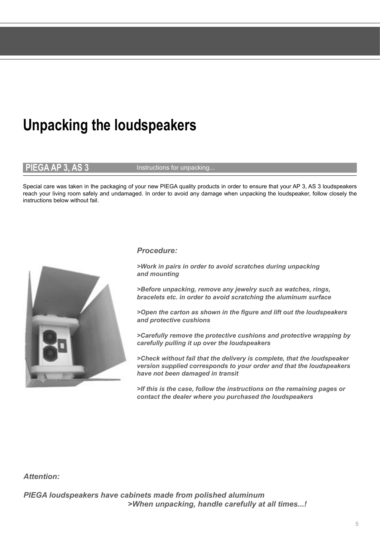## **Unpacking the loudspeakers**

**PIEGA AP 3, AS 3** Instructions for unpacking.

Special care was taken in the packaging of your new PIEGA quality products in order to ensure that your AP 3, AS 3 loudspeakers reach your living room safely and undamaged. In order to avoid any damage when unpacking the loudspeaker, follow closely the instructions below without fail.



#### *Procedure:*

*>Work in pairs in order to avoid scratches during unpacking and mounting*

*>Before unpacking, remove any jewelry such as watches, rings, bracelets etc. in order to avoid scratching the aluminum surface*

*>Open the carton as shown in the fi gure and lift out the loudspeakers and protective cushions* 

*>Carefully remove the protective cushions and protective wrapping by carefully pulling it up over the loudspeakers*

*>Check without fail that the delivery is complete, that the loudspeaker version supplied corresponds to your order and that the loudspeakers have not been damaged in transit*

*>If this is the case, follow the instructions on the remaining pages or contact the dealer where you purchased the loudspeakers*

#### *Attention:*

*PIEGA loudspeakers have cabinets made from polished aluminum >When unpacking, handle carefully at all times...!*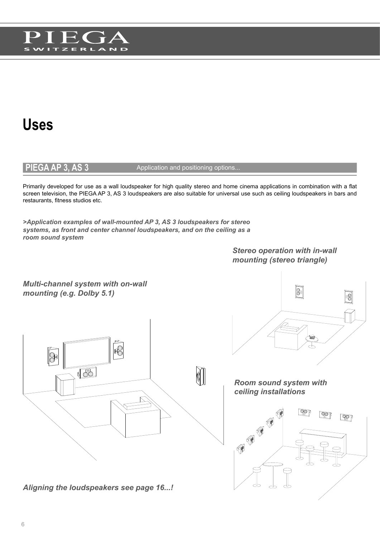

### **Uses**

#### **PIEGA AP 3, AS 3** Application and positioning options..

Primarily developed for use as a wall loudspeaker for high quality stereo and home cinema applications in combination with a flat screen television, the PIEGA AP 3, AS 3 loudspeakers are also suitable for universal use such as ceiling loudspeakers in bars and restaurants, fitness studios etc.

*>Application examples of wall-mounted AP 3, AS 3 loudspeakers for stereo systems, as front and center channel loudspeakers, and on the ceiling as a room sound system*

> *Stereo operation with in-wall mounting (stereo triangle)*

*Multi-channel system with on-wall mounting (e.g. Dolby 5.1)*



*Aligning the loudspeakers see page 16...!*



*Room sound system with ceiling installations*

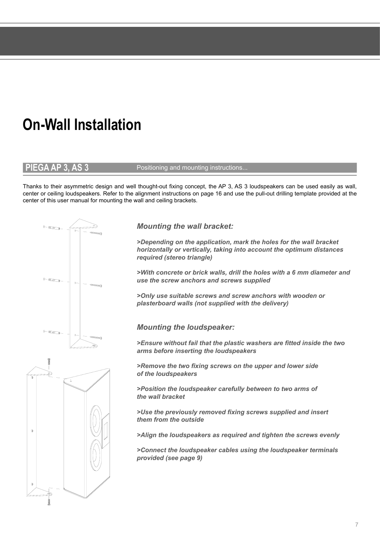## **On-Wall Installation**

#### **PIEGA AP 3, AS 3** Positioning and mounting instructions...

Thanks to their asymmetric design and well thought-out fixing concept, the AP 3, AS 3 loudspeakers can be used easily as wall, center or ceiling loudspeakers. Refer to the alignment instructions on page 16 and use the pull-out drilling template provided at the center of this user manual for mounting the wall and ceiling brackets.



*Mounting the wall bracket:*

*>Depending on the application, mark the holes for the wall bracket horizontally or vertically, taking into account the optimum distances required (stereo triangle)*

*>With concrete or brick walls, drill the holes with a 6 mm diameter and use the screw anchors and screws supplied*

*>Only use suitable screws and screw anchors with wooden or plasterboard walls (not supplied with the delivery)*

*Mounting the loudspeaker:*

*>Ensure without fail that the plastic washers are fitted inside the two arms before inserting the loudspeakers*

*>Remove the two fixing screws on the upper and lower side of the loudspeakers*

*>Position the loudspeaker carefully between to two arms of the wall bracket*

*>Use the previously removed fixing screws supplied and insert them from the outside*

*>Align the loudspeakers as required and tighten the screws evenly*

*>Connect the loudspeaker cables using the loudspeaker terminals provided (see page 9)*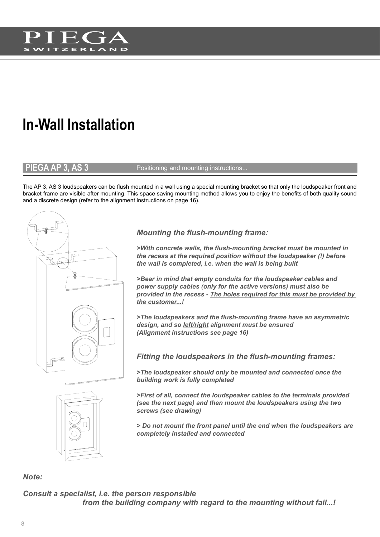

## **In-Wall Installation**

#### **PIEGA AP 3, AS 3** Positioning and mounting instructions...

The AP 3, AS 3 loudspeakers can be flush mounted in a wall using a special mounting bracket so that only the loudspeaker front and bracket frame are visible after mounting. This space saving mounting method allows you to enjoy the benefits of both quality sound and a discrete design (refer to the alignment instructions on page 16).





### *Mounting the flush-mounting frame:*

*>With concrete walls, the flush-mounting bracket must be mounted in the recess at the required position without the loudspeaker (!) before the wall is completed, i.e. when the wall is being built*

*>Bear in mind that empty conduits for the loudspeaker cables and power supply cables (only for the active versions) must also be provided in the recess - The holes required for this must be provided by the customer...!*

*>The loudspeakers and the flush-mounting frame have an asymmetric design, and so left/right alignment must be ensured (Alignment instructions see page 16)*

*Fitting the loudspeakers in the flush-mounting frames:*

*>The loudspeaker should only be mounted and connected once the building work is fully completed*

*>First of all, connect the loudspeaker cables to the terminals provided (see the next page) and then mount the loudspeakers using the two screws (see drawing)*

*> Do not mount the front panel until the end when the loudspeakers are completely installed and connected*

*Note:*

*Consult a specialist, i.e. the person responsible from the building company with regard to the mounting without fail...!*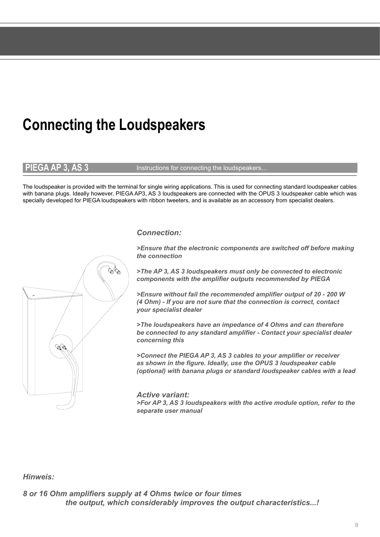## **Connecting the Loudspeakers**

**PIEGA AP 3, AS 3** Instructions for connecting the loudspeakers...

The loudspeaker is provided with the terminal for single wiring applications. This is used for connecting standard loudspeaker cables with banana plugs. Ideally however, PIEGA AP3, AS 3 loudspeakers are connected with the OPUS 3 loudspeaker cable which was specially developed for PIEGA loudspeakers with ribbon tweeters, and is available as an accessory from specialist dealers.

#### *Connection:*

*>Ensure that the electronic components are switched off before making the connection*

*>The AP 3, AS 3 loudspeakers must only be connected to electronic components with the amplifier outputs recommended by PIEGA*

*>Ensure without fail the recommended amplifier output of 20 - 200 W (4 Ohm) - If you are not sure that the connection is correct, contact your specialist dealer*

*>The loudspeakers have an impedance of 4 Ohms and can therefore be connected to any standard amplifier - Contact your specialist dealer concerning this*

*>Connect the PIEGA AP 3, AS 3 cables to your amplifier or receiver as shown in the figure. Ideally, use the OPUS 3 loudspeaker cable (optional) with banana plugs or standard loudspeaker cables with a lead*

*Active variant: >For AP 3, AS 3 loudspeakers with the active module option, refer to the separate user manual*

#### *Hinweis:*

*8 or 16 Ohm amplifiers supply at 4 Ohms twice or four times the output, which considerably improves the output characteristics...!*

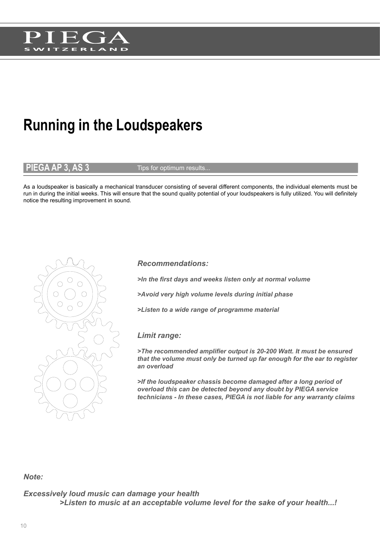

## **Running in the Loudspeakers**

 $\mathsf{FGA}$  AP 3, AS 3  $\blacksquare$  Tips for optimum results...

As a loudspeaker is basically a mechanical transducer consisting of several different components, the individual elements must be run in during the initial weeks. This will ensure that the sound quality potential of your loudspeakers is fully utilized. You will definitely notice the resulting improvement in sound.



*>In the first days and weeks listen only at normal volume*

*>Avoid very high volume levels during initial phase*

*>Listen to a wide range of programme material*

#### *Limit range:*

*>The recommended amplifier output is 20-200 Watt. It must be ensured that the volume must only be turned up far enough for the ear to register an overload*

*>If the loudspeaker chassis become damaged after a long period of overload this can be detected beyond any doubt by PIEGA service technicians - In these cases, PIEGA is not liable for any warranty claims*

#### *Note:*

*Excessively loud music can damage your health >Listen to music at an acceptable volume level for the sake of your health...!*

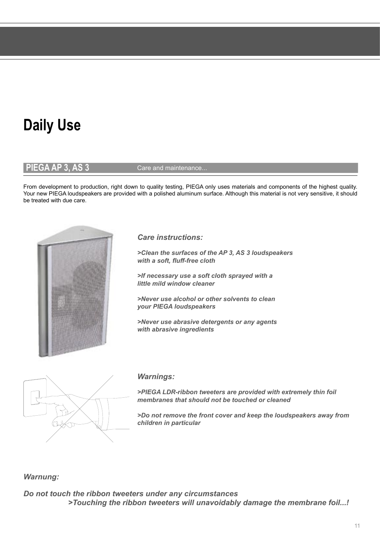## **Daily Use**

**PIEGA AP 3, AS 3** Care and maintenance...

From development to production, right down to quality testing, PIEGA only uses materials and components of the highest quality. Your new PIEGA loudspeakers are provided with a polished aluminum surface. Although this material is not very sensitive, it should be treated with due care.



*Care instructions:*

*>Clean the surfaces of the AP 3, AS 3 loudspeakers*  with a soft, fluff-free cloth

*>If necessary use a soft cloth sprayed with a little mild window cleaner*

*>Never use alcohol or other solvents to clean your PIEGA loudspeakers*

*>Never use abrasive detergents or any agents with abrasive ingredients*



#### *Warnings:*

*>PIEGA LDR-ribbon tweeters are provided with extremely thin foil membranes that should not be touched or cleaned*

*>Do not remove the front cover and keep the loudspeakers away from children in particular*

#### *Warnung:*

*Do not touch the ribbon tweeters under any circumstances >Touching the ribbon tweeters will unavoidably damage the membrane foil...!*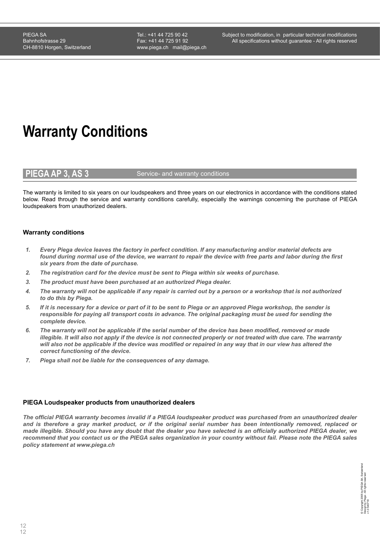Tel.: +41 44 725 90 42 Fax: +41 44 725 91 92 www.piega.ch mail@piega.ch

## **Warranty Conditions**

#### **PIEGA AP 3, AS 3** Service- and warranty conditions

The warranty is limited to six years on our loudspeakers and three years on our electronics in accordance with the conditions stated below. Read through the service and warranty conditions carefully, especially the warnings concerning the purchase of PIEGA loudspeakers from unauthorized dealers.

#### **Warranty conditions**

- *1. Every Piega device leaves the factory in perfect condition. If any manufacturing and/or material defects are found during normal use of the device, we warrant to repair the device with free parts and labor during the first six years from the date of purchase.*
- *2. The registration card for the device must be sent to Piega within six weeks of purchase.*
- *3. The product must have been purchased at an authorized Piega dealer.*
- *4. The warranty will not be applicable if any repair is carried out by a person or a workshop that is not authorized to do this by Piega.*
- *5. If it is necessary for a device or part of it to be sent to Piega or an approved Piega workshop, the sender is responsible for paying all transport costs in advance. The original packaging must be used for sending the complete device.*
- *6. The warranty will not be applicable if the serial number of the device has been modified, removed or made illegible. It will also not apply if the device is not connected properly or not treated with due care. The warranty* will also not be applicable if the device was modified or repaired in any way that in our view has altered the *correct functioning of the device.*
- *7. Piega shall not be liable for the consequences of any damage.*

#### **PIEGA Loudspeaker products from unauthorized dealers**

*The official PIEGA warranty becomes invalid if a PIEGA loudspeaker product was purchased from an unauthorized dealer and is therefore a gray market product, or if the original serial number has been intentionally removed, replaced or made illegible. Should you have any doubt that the dealer you have selected is an officially authorized PIEGA dealer, we recommend that you contact us or the PIEGA sales organization in your country without fail. Please note the PIEGA sales policy statement at www.piega.ch*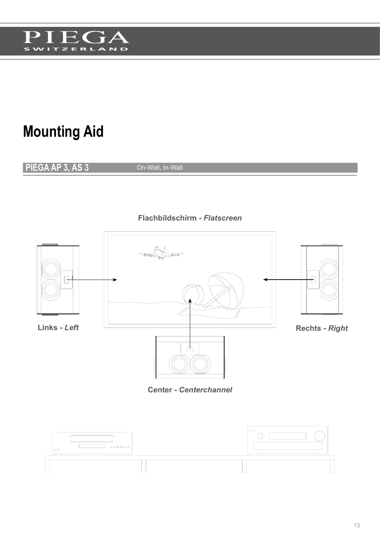

## **Mounting Aid**

**PIEGA AP 3, AS 3** On-Wall, In-Wall



**Center -** *Centerchannel*

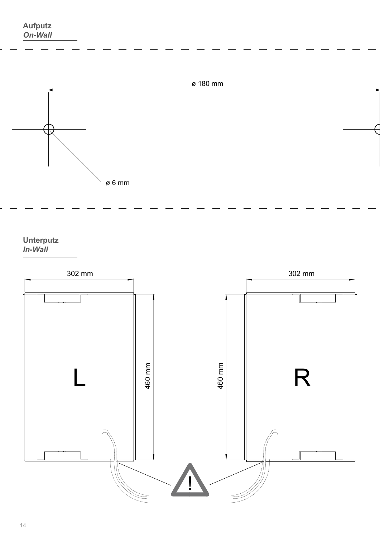

**Unterputz** *In-Wall*

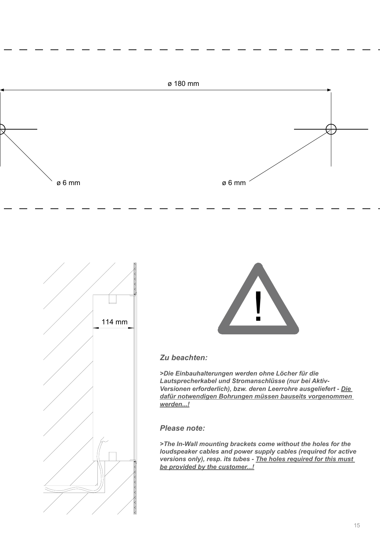





### *Zu beachten:*

*>Die Einbauhalterungen werden ohne Löcher für die Lautsprecherkabel und Stromanschlüsse (nur bei Aktiv-Versionen erforderlich), bzw. deren Leerrohre ausgeliefert - Die dafür notwendigen Bohrungen müssen bauseits vorgenommen werden...!*

*Please note:*

*>The In-Wall mounting brackets come without the holes for the loudspeaker cables and power supply cables (required for active versions only), resp. its tubes - The holes required for this must be provided by the customer...!*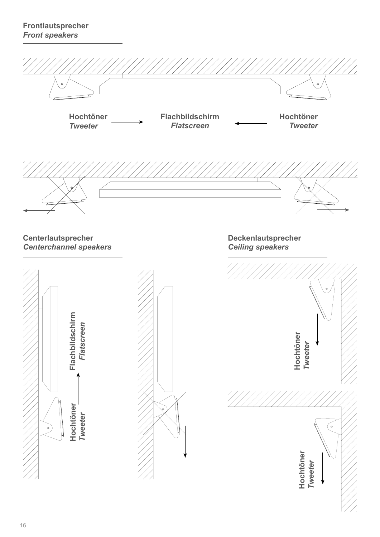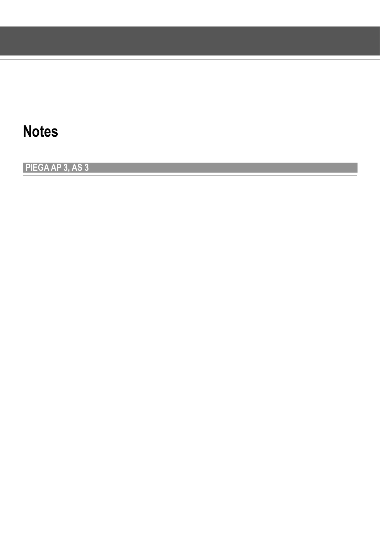### **Notes**

**PIEGA AP 3, AS 3**